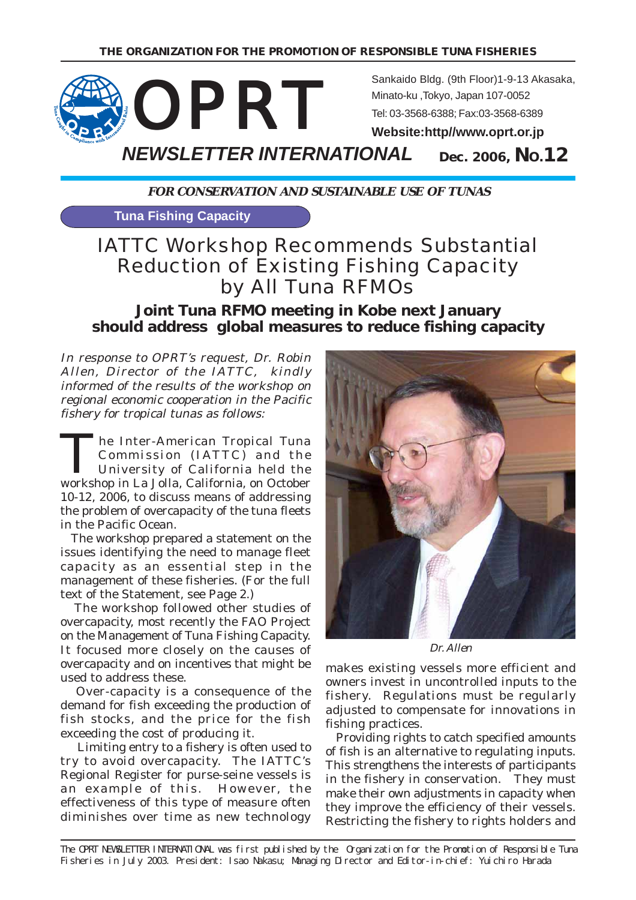

**FOR CONSERVATION AND SUSTAINABLE USE OF TUNAS**

**Tuna Fishing Capacity**

# IATTC Workshop Recommends Substantial Reduction of Existing Fishing Capacity by All Tuna RFMOs

**Joint Tuna RFMO meeting in Kobe next January should address global measures to reduce fishing capacity**

In response to OPRT's request, Dr. Robin Allen, Director of the IATTC, kindly informed of the results of the workshop on regional economic cooperation in the Pacific fishery for tropical tunas as follows:

The Inter-American Tropical Tuna Commission (IATTC) and the University of California held the workshop in La Jolla, California, on October 10-12, 2006, to discuss means of addressing the problem of overcapacity of the tuna fleets in the Pacific Ocean.

 The workshop prepared a statement on the issues identifying the need to manage fleet capacity as an essential step in the management of these fisheries. (For the full text of the Statement, see Page 2.)

 The workshop followed other studies of overcapacity, most recently the FAO Project on the Management of Tuna Fishing Capacity. It focused more closely on the causes of overcapacity and on incentives that might be used to address these.

 Over-capacity is a consequence of the demand for fish exceeding the production of fish stocks, and the price for the fish exceeding the cost of producing it.

 Limiting entry to a fishery is often used to try to avoid overcapacity. The IATTC's Regional Register for purse-seine vessels is an example of this. However, the effectiveness of this type of measure often diminishes over time as new technology



Dr. Allen

makes existing vessels more efficient and owners invest in uncontrolled inputs to the fishery. Regulations must be regularly adjusted to compensate for innovations in fishing practices.

 Providing rights to catch specified amounts of fish is an alternative to regulating inputs. This strengthens the interests of participants in the fishery in conservation. They must make their own adjustments in capacity when they improve the efficiency of their vessels. Restricting the fishery to rights holders and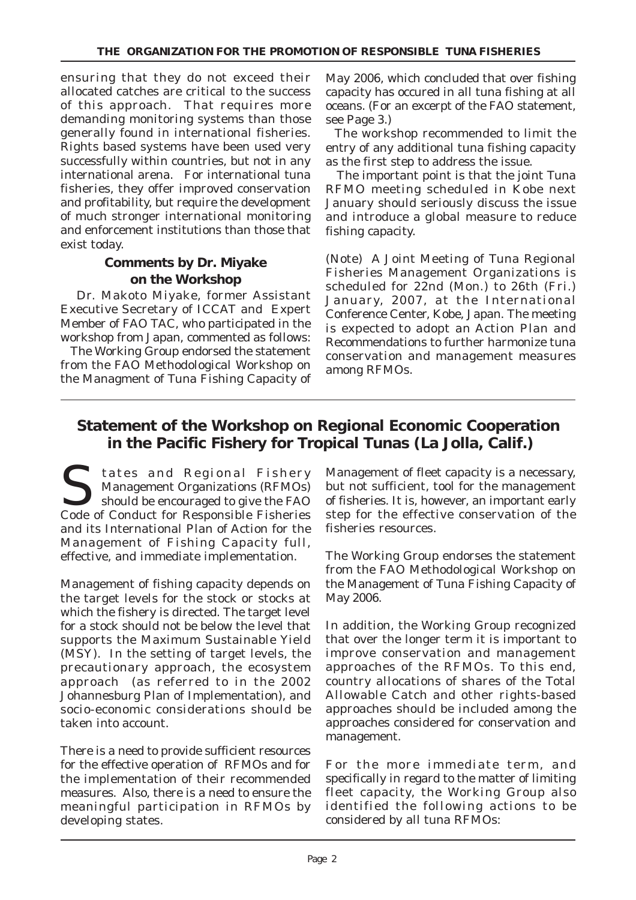ensuring that they do not exceed their allocated catches are critical to the success of this approach. That requires more demanding monitoring systems than those generally found in international fisheries. Rights based systems have been used very successfully within countries, but not in any international arena. For international tuna fisheries, they offer improved conservation and profitability, but require the development of much stronger international monitoring and enforcement institutions than those that exist today.

#### **Comments by Dr. Miyake on the Workshop**

 Dr. Makoto Miyake, former Assistant Executive Secretary of ICCAT and Expert Member of FAO TAC, who participated in the workshop from Japan, commented as follows:

 The Working Group endorsed the statement from the FAO Methodological Workshop on the Managment of Tuna Fishing Capacity of

May 2006, which concluded that over fishing capacity has occured in all tuna fishing at all oceans. (For an excerpt of the FAO statement, see Page 3.)

 The workshop recommended to limit the entry of any additional tuna fishing capacity as the first step to address the issue.

 The important point is that the joint Tuna RFMO meeting scheduled in Kobe next January should seriously discuss the issue and introduce a global measure to reduce fishing capacity.

(Note) A Joint Meeting of Tuna Regional Fisheries Management Organizations is scheduled for 22nd (Mon.) to 26th (Fri.) January, 2007, at the International Conference Center, Kobe, Japan. The meeting is expected to adopt an Action Plan and Recommendations to further harmonize tuna conservation and management measures among RFMOs.

# **Statement of the Workshop on Regional Economic Cooperation in the Pacific Fishery for Tropical Tunas (La Jolla, Calif.)**

States and Regional Fishery<br>
States and Regional Fishery<br>
should be encouraged to give the FAO Management Organizations (RFMOs) Code of Conduct for Responsible Fisheries and its International Plan of Action for the Management of Fishing Capacity full, effective, and immediate implementation.

Management of fishing capacity depends on the target levels for the stock or stocks at which the fishery is directed. The target level for a stock should not be below the level that supports the Maximum Sustainable Yield (MSY). In the setting of target levels, the precautionary approach, the ecosystem approach (as referred to in the 2002 Johannesburg Plan of Implementation), and socio-economic considerations should be taken into account.

There is a need to provide sufficient resources for the effective operation of RFMOs and for the implementation of their recommended measures. Also, there is a need to ensure the meaningful participation in RFMOs by developing states.

Management of fleet capacity is a necessary, but not sufficient, tool for the management of fisheries. It is, however, an important early step for the effective conservation of the fisheries resources.

The Working Group endorses the statement from the FAO Methodological Workshop on the Management of Tuna Fishing Capacity of May 2006.

In addition, the Working Group recognized that over the longer term it is important to improve conservation and management approaches of the RFMOs. To this end, country allocations of shares of the Total Allowable Catch and other rights-based approaches should be included among the approaches considered for conservation and management.

For the more immediate term, and specifically in regard to the matter of limiting fleet capacity, the Working Group also identified the following actions to be considered by all tuna RFMOs: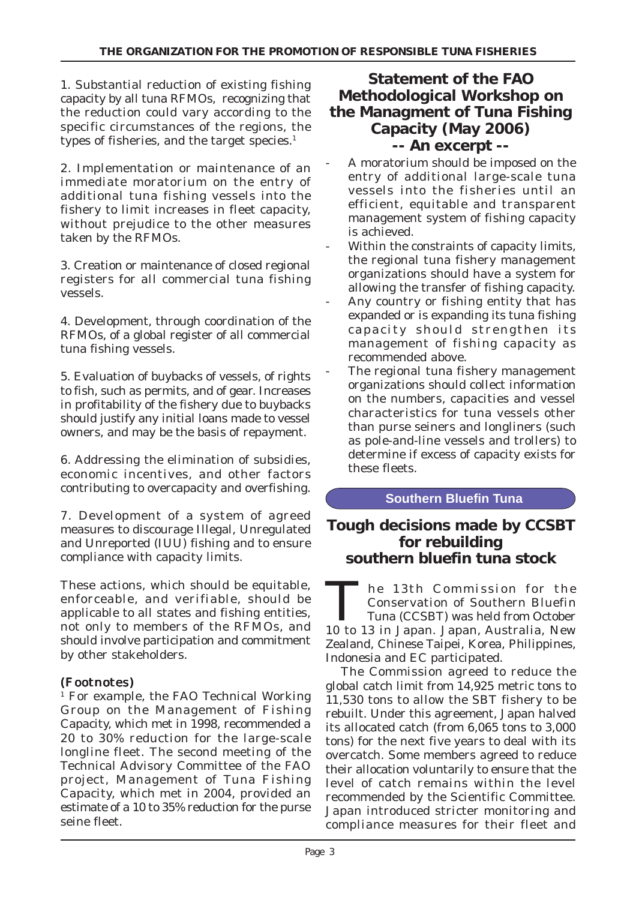1. Substantial reduction of existing fishing capacity by all tuna RFMOs, recognizing that the reduction could vary according to the specific circumstances of the regions, the types of fisheries, and the target species.<sup>1</sup>

2. Implementation or maintenance of an immediate moratorium on the entry of additional tuna fishing vessels into the fishery to limit increases in fleet capacity, without prejudice to the other measures taken by the RFMOs.

3. Creation or maintenance of closed regional registers for all commercial tuna fishing vessels.

4. Development, through coordination of the RFMOs, of a global register of all commercial tuna fishing vessels.

5. Evaluation of buybacks of vessels, of rights to fish, such as permits, and of gear. Increases in profitability of the fishery due to buybacks should justify any initial loans made to vessel owners, and may be the basis of repayment.

6. Addressing the elimination of subsidies, economic incentives, and other factors contributing to overcapacity and overfishing.

7. Development of a system of agreed measures to discourage Illegal, Unregulated and Unreported (IUU) fishing and to ensure compliance with capacity limits.

These actions, which should be equitable, enforceable, and verifiable, should be applicable to all states and fishing entities, not only to members of the RFMOs, and should involve participation and commitment by other stakeholders.

#### (Footnotes) (Footnotes)

1 For example, the FAO Technical Working Group on the Management of Fishing Capacity, which met in 1998, recommended a 20 to 30% reduction for the large-scale longline fleet. The second meeting of the Technical Advisory Committee of the FAO project, Management of Tuna Fishing Capacity, which met in 2004, provided an estimate of a 10 to 35% reduction for the purse seine fleet.

# **Statement of the FAO Methodological Workshop on the Managment of Tuna Fishing Capacity (May 2006) -- An excerpt --**

- A moratorium should be imposed on the entry of additional large-scale tuna vessels into the fisheries until an efficient, equitable and transparent management system of fishing capacity is achieved.
- Within the constraints of capacity limits, the regional tuna fishery management organizations should have a system for allowing the transfer of fishing capacity.
- Any country or fishing entity that has expanded or is expanding its tuna fishing capacity should strengthen its management of fishing capacity as recommended above.
- The regional tuna fishery management organizations should collect information on the numbers, capacities and vessel characteristics for tuna vessels other than purse seiners and longliners (such as pole-and-line vessels and trollers) to determine if excess of capacity exists for these fleets.

#### **Southern Bluefin Tuna**

## **Tough decisions made by CCSBT for rebuilding southern bluefin tuna stock**

The 13th Commission for the Conservation of Southern Bluefin Tuna (CCSBT) was held from October 10 to 13 in Japan. Japan, Australia, New Zealand, Chinese Taipei, Korea, Philippines, Indonesia and EC participated.

 The Commission agreed to reduce the global catch limit from 14,925 metric tons to 11,530 tons to allow the SBT fishery to be rebuilt. Under this agreement, Japan halved its allocated catch (from 6,065 tons to 3,000 tons) for the next five years to deal with its overcatch. Some members agreed to reduce their allocation voluntarily to ensure that the level of catch remains within the level recommended by the Scientific Committee. Japan introduced stricter monitoring and compliance measures for their fleet and